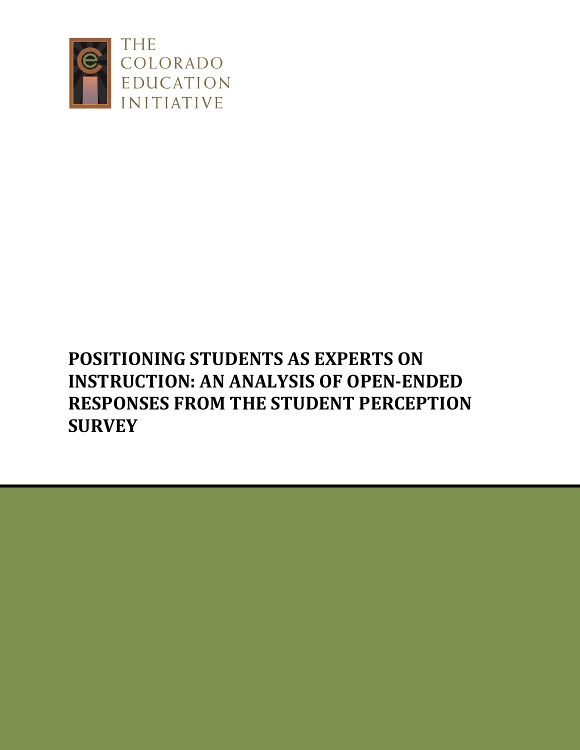

# **POSITIONING STUDENTS AS EXPERTS ON INSTRUCTION: AN ANALYSIS OF OPEN-ENDED RESPONSES FROM THE STUDENT PERCEPTION SURVEY**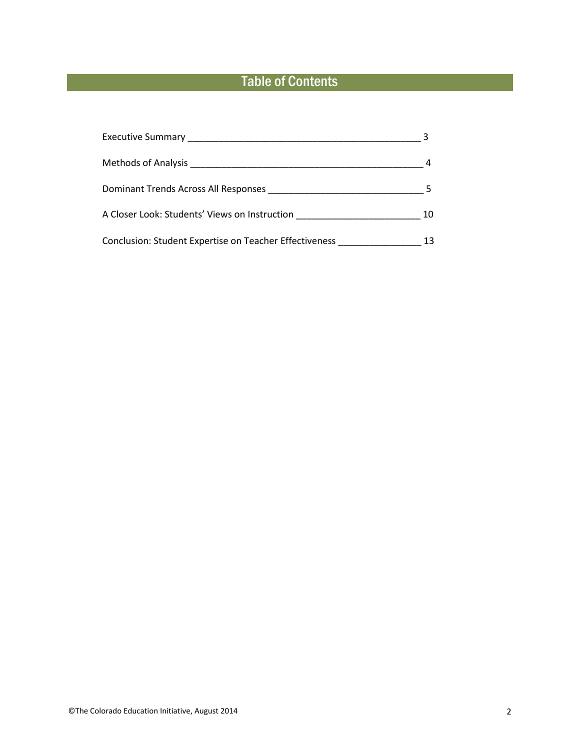# Table of Contents

| A Closer Look: Students' Views on Instruction                       | 10 |
|---------------------------------------------------------------------|----|
| Conclusion: Student Expertise on Teacher Effectiveness ____________ |    |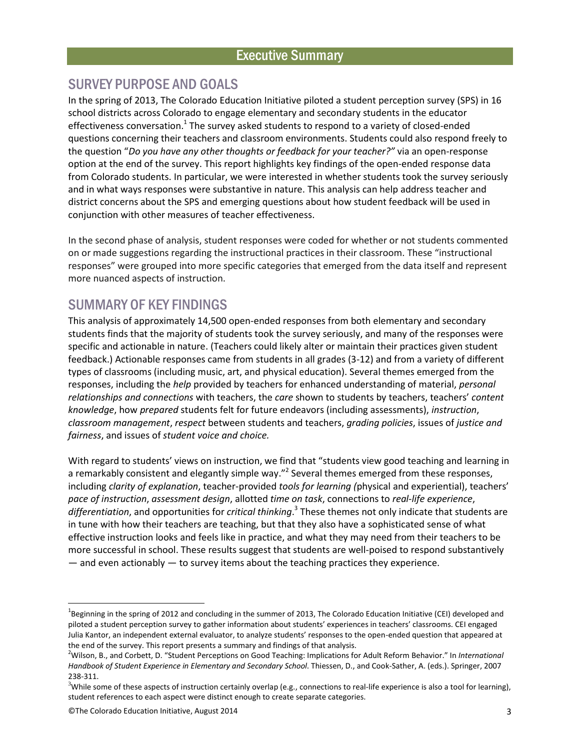#### Executive Summary

#### SURVEY PURPOSE AND GOALS

In the spring of 2013, The Colorado Education Initiative piloted a student perception survey (SPS) in 16 school districts across Colorado to engage elementary and secondary students in the educator effectiveness conversation.<sup>1</sup> The survey asked students to respond to a variety of closed-ended questions concerning their teachers and classroom environments. Students could also respond freely to the question "*Do you have any other thoughts or feedback for your teacher?"* via an open-response option at the end of the survey. This report highlights key findings of the open-ended response data from Colorado students. In particular, we were interested in whether students took the survey seriously and in what ways responses were substantive in nature. This analysis can help address teacher and district concerns about the SPS and emerging questions about how student feedback will be used in conjunction with other measures of teacher effectiveness.

In the second phase of analysis, student responses were coded for whether or not students commented on or made suggestions regarding the instructional practices in their classroom. These "instructional responses" were grouped into more specific categories that emerged from the data itself and represent more nuanced aspects of instruction.

#### SUMMARY OF KEY FINDINGS

This analysis of approximately 14,500 open-ended responses from both elementary and secondary students finds that the majority of students took the survey seriously, and many of the responses were specific and actionable in nature. (Teachers could likely alter or maintain their practices given student feedback.) Actionable responses came from students in all grades (3-12) and from a variety of different types of classrooms (including music, art, and physical education). Several themes emerged from the responses, including the *help* provided by teachers for enhanced understanding of material, *personal relationships and connections* with teachers, the *care* shown to students by teachers, teachers' *content knowledge*, how *prepared* students felt for future endeavors (including assessments), *instruction*, *classroom management*, *respect* between students and teachers, *grading policies*, issues of *justice and fairness*, and issues of *student voice and choice.*

With regard to students' views on instruction, we find that "students view good teaching and learning in a remarkably consistent and elegantly simple way."<sup>2</sup> Several themes emerged from these responses, including *clarity of explanation*, teacher-provided *tools for learning (*physical and experiential), teachers' *pace of instruction*, *assessment design*, allotted *time on task*, connections to *real-life experience*, *differentiation*, and opportunities for *critical thinking*. 3 These themes not only indicate that students are in tune with how their teachers are teaching, but that they also have a sophisticated sense of what effective instruction looks and feels like in practice, and what they may need from their teachers to be more successful in school. These results suggest that students are well-poised to respond substantively — and even actionably — to survey items about the teaching practices they experience.

<sup>&</sup>lt;sup>1</sup>Beginning in the spring of 2012 and concluding in the summer of 2013, The Colorado Education Initiative (CEI) developed and piloted a student perception survey to gather information about students' experiences in teachers' classrooms. CEI engaged Julia Kantor, an independent external evaluator, to analyze students' responses to the open-ended question that appeared at the end of the survey. This report presents a summary and findings of that analysis.

<sup>2</sup>Wilson, B., and Corbett, D. "Student Perceptions on Good Teaching: Implications for Adult Reform Behavior." In *International Handbook of Student Experience in Elementary and Secondary School*. Thiessen, D., and Cook-Sather, A. (eds.). Springer, 2007 238-311.

 $3$ While some of these aspects of instruction certainly overlap (e.g., connections to real-life experience is also a tool for learning), student references to each aspect were distinct enough to create separate categories.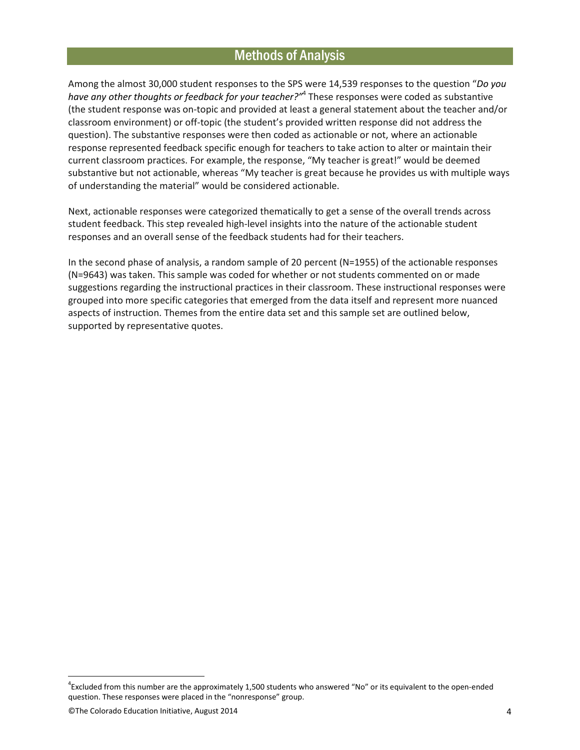#### Methods of Analysis

Among the almost 30,000 student responses to the SPS were 14,539 responses to the question "*Do you have any other thoughts or feedback for your teacher?"*<sup>4</sup> These responses were coded as substantive (the student response was on-topic and provided at least a general statement about the teacher and/or classroom environment) or off-topic (the student's provided written response did not address the question). The substantive responses were then coded as actionable or not, where an actionable response represented feedback specific enough for teachers to take action to alter or maintain their current classroom practices. For example, the response, "My teacher is great!" would be deemed substantive but not actionable, whereas "My teacher is great because he provides us with multiple ways of understanding the material" would be considered actionable.

Next, actionable responses were categorized thematically to get a sense of the overall trends across student feedback. This step revealed high-level insights into the nature of the actionable student responses and an overall sense of the feedback students had for their teachers.

In the second phase of analysis, a random sample of 20 percent (N=1955) of the actionable responses (N=9643) was taken. This sample was coded for whether or not students commented on or made suggestions regarding the instructional practices in their classroom. These instructional responses were grouped into more specific categories that emerged from the data itself and represent more nuanced aspects of instruction. Themes from the entire data set and this sample set are outlined below, supported by representative quotes.

<sup>&</sup>lt;sup>4</sup>Excluded from this number are the approximately 1,500 students who answered "No" or its equivalent to the open-ended question. These responses were placed in the "nonresponse" group.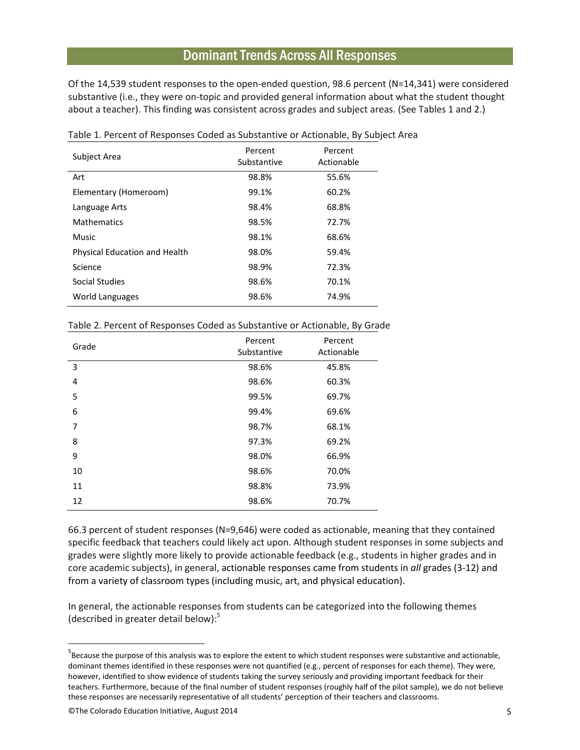#### Dominant Trends Across All Responses

Of the 14,539 student responses to the open-ended question, 98.6 percent (N=14,341) were considered substantive (i.e., they were on-topic and provided general information about what the student thought about a teacher). This finding was consistent across grades and subject areas. (See Tables 1 and 2.)

| Subject Area                  | Percent<br>Substantive | Percent<br>Actionable |
|-------------------------------|------------------------|-----------------------|
| Art                           | 98.8%                  | 55.6%                 |
| Elementary (Homeroom)         | 99.1%                  | 60.2%                 |
| Language Arts                 | 98.4%                  | 68.8%                 |
| <b>Mathematics</b>            | 98.5%                  | 72.7%                 |
| Music                         | 98.1%                  | 68.6%                 |
| Physical Education and Health | 98.0%                  | 59.4%                 |
| Science                       | 98.9%                  | 72.3%                 |
| Social Studies                | 98.6%                  | 70.1%                 |
| World Languages               | 98.6%                  | 74.9%                 |

Table 1. Percent of Responses Coded as Substantive or Actionable, By Subject Area

|  |  |  |  | Table 2. Percent of Responses Coded as Substantive or Actionable, By Grade |  |  |  |
|--|--|--|--|----------------------------------------------------------------------------|--|--|--|
|--|--|--|--|----------------------------------------------------------------------------|--|--|--|

| Grade | Percent<br>Substantive | Percent<br>Actionable |
|-------|------------------------|-----------------------|
| 3     | 98.6%                  | 45.8%                 |
| 4     | 98.6%                  | 60.3%                 |
| 5     | 99.5%                  | 69.7%                 |
| 6     | 99.4%                  | 69.6%                 |
| 7     | 98.7%                  | 68.1%                 |
| 8     | 97.3%                  | 69.2%                 |
| 9     | 98.0%                  | 66.9%                 |
| 10    | 98.6%                  | 70.0%                 |
| 11    | 98.8%                  | 73.9%                 |
| 12    | 98.6%                  | 70.7%                 |

66.3 percent of student responses (N=9,646) were coded as actionable, meaning that they contained specific feedback that teachers could likely act upon. Although student responses in some subjects and grades were slightly more likely to provide actionable feedback (e.g., students in higher grades and in core academic subjects), in general, actionable responses came from students in *all* grades (3-12) and from a variety of classroom types (including music, art, and physical education).

In general, the actionable responses from students can be categorized into the following themes (described in greater detail below): 5

<sup>&</sup>lt;sup>5</sup>Because the purpose of this analysis was to explore the extent to which student responses were substantive and actionable, dominant themes identified in these responses were not quantified (e.g., percent of responses for each theme). They were, however, identified to show evidence of students taking the survey seriously and providing important feedback for their teachers. Furthermore, because of the final number of student responses (roughly half of the pilot sample), we do not believe these responses are necessarily representative of all students' perception of their teachers and classrooms.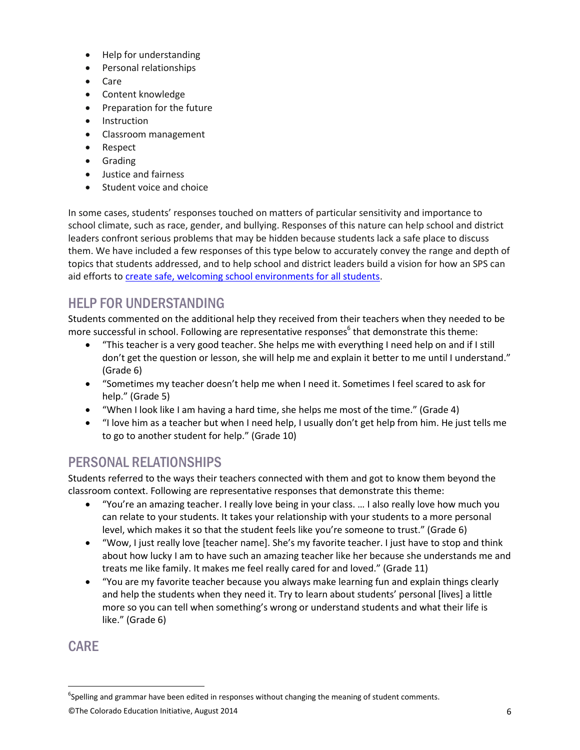- Help for understanding
- Personal relationships
- Care
- Content knowledge
- Preparation for the future
- Instruction
- Classroom management
- Respect
- **•** Grading
- Justice and fairness
- Student voice and choice

In some cases, students' responses touched on matters of particular sensitivity and importance to school climate, such as race, gender, and bullying. Responses of this nature can help school and district leaders confront serious problems that may be hidden because students lack a safe place to discuss them. We have included a few responses of this type below to accurately convey the range and depth of topics that students addressed, and to help school and district leaders build a vision for how an SPS can aid efforts to [create safe, welcoming school environments for all students.](http://www.coloradoedinitiative.org/resources/transforming-school-climate-toolkit/)

# HELP FOR UNDERSTANDING

Students commented on the additional help they received from their teachers when they needed to be more successful in school. Following are representative responses<sup>6</sup> that demonstrate this theme:

- "This teacher is a very good teacher. She helps me with everything I need help on and if I still don't get the question or lesson, she will help me and explain it better to me until I understand." (Grade 6)
- "Sometimes my teacher doesn't help me when I need it. Sometimes I feel scared to ask for help." (Grade 5)
- "When I look like I am having a hard time, she helps me most of the time." (Grade 4)
- "I love him as a teacher but when I need help, I usually don't get help from him. He just tells me to go to another student for help." (Grade 10)

# PERSONAL RELATIONSHIPS

Students referred to the ways their teachers connected with them and got to know them beyond the classroom context. Following are representative responses that demonstrate this theme:

- "You're an amazing teacher. I really love being in your class. … I also really love how much you can relate to your students. It takes your relationship with your students to a more personal level, which makes it so that the student feels like you're someone to trust." (Grade 6)
- . "Wow, I just really love [teacher name]. She's my favorite teacher. I just have to stop and think about how lucky I am to have such an amazing teacher like her because she understands me and treats me like family. It makes me feel really cared for and loved." (Grade 11)
- "You are my favorite teacher because you always make learning fun and explain things clearly and help the students when they need it. Try to learn about students' personal [lives] a little more so you can tell when something's wrong or understand students and what their life is like." (Grade 6)

#### **CARE**

<sup>&</sup>lt;sup>6</sup>Spelling and grammar have been edited in responses without changing the meaning of student comments.

<sup>©</sup>The Colorado Education Initiative, August 2014 6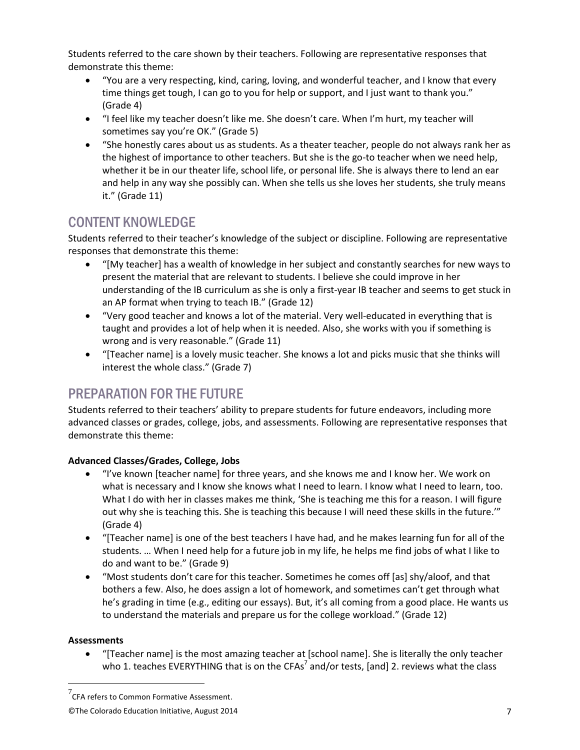Students referred to the care shown by their teachers. Following are representative responses that demonstrate this theme:

- "You are a very respecting, kind, caring, loving, and wonderful teacher, and I know that every time things get tough, I can go to you for help or support, and I just want to thank you." (Grade 4)
- "I feel like my teacher doesn't like me. She doesn't care. When I'm hurt, my teacher will sometimes say you're OK." (Grade 5)
- "She honestly cares about us as students. As a theater teacher, people do not always rank her as the highest of importance to other teachers. But she is the go-to teacher when we need help, whether it be in our theater life, school life, or personal life. She is always there to lend an ear and help in any way she possibly can. When she tells us she loves her students, she truly means it." (Grade 11)

# CONTENT KNOWLEDGE

Students referred to their teacher's knowledge of the subject or discipline. Following are representative responses that demonstrate this theme:

- "[My teacher] has a wealth of knowledge in her subject and constantly searches for new ways to present the material that are relevant to students. I believe she could improve in her understanding of the IB curriculum as she is only a first-year IB teacher and seems to get stuck in an AP format when trying to teach IB." (Grade 12)
- "Very good teacher and knows a lot of the material. Very well-educated in everything that is taught and provides a lot of help when it is needed. Also, she works with you if something is wrong and is very reasonable." (Grade 11)
- "[Teacher name] is a lovely music teacher. She knows a lot and picks music that she thinks will interest the whole class." (Grade 7)

# PREPARATION FOR THE FUTURE

Students referred to their teachers' ability to prepare students for future endeavors, including more advanced classes or grades, college, jobs, and assessments. Following are representative responses that demonstrate this theme:

#### **Advanced Classes/Grades, College, Jobs**

- "I've known [teacher name] for three years, and she knows me and I know her. We work on what is necessary and I know she knows what I need to learn. I know what I need to learn, too. What I do with her in classes makes me think, 'She is teaching me this for a reason. I will figure out why she is teaching this. She is teaching this because I will need these skills in the future.'" (Grade 4)
- $\bullet$  "Teacher name) is one of the best teachers I have had, and he makes learning fun for all of the students. … When I need help for a future job in my life, he helps me find jobs of what I like to do and want to be." (Grade 9)
- "Most students don't care for this teacher. Sometimes he comes off [as] shy/aloof, and that bothers a few. Also, he does assign a lot of homework, and sometimes can't get through what he's grading in time (e.g., editing our essays). But, it's all coming from a good place. He wants us to understand the materials and prepare us for the college workload." (Grade 12)

#### **Assessments**

 $\overline{a}$ 

 "[Teacher name] is the most amazing teacher at [school name]. She is literally the only teacher who 1. teaches EVERYTHING that is on the CFAs<sup>7</sup> and/or tests, [and] 2. reviews what the class

 $^7$ CFA refers to Common Formative Assessment.

<sup>©</sup>The Colorado Education Initiative, August 2014 7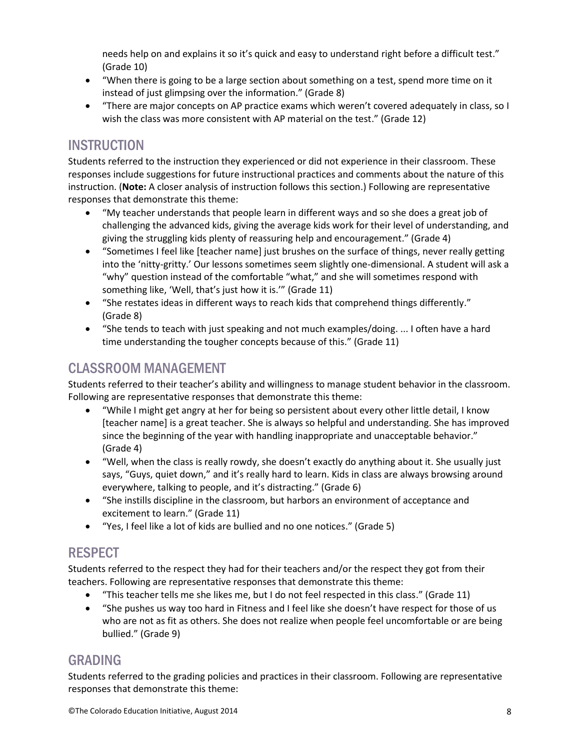needs help on and explains it so it's quick and easy to understand right before a difficult test." (Grade 10)

- "When there is going to be a large section about something on a test, spend more time on it instead of just glimpsing over the information." (Grade 8)
- "There are major concepts on AP practice exams which weren't covered adequately in class, so I wish the class was more consistent with AP material on the test." (Grade 12)

# **INSTRUCTION**

Students referred to the instruction they experienced or did not experience in their classroom. These responses include suggestions for future instructional practices and comments about the nature of this instruction. (**Note:** A closer analysis of instruction follows this section.) Following are representative responses that demonstrate this theme:

- "My teacher understands that people learn in different ways and so she does a great job of challenging the advanced kids, giving the average kids work for their level of understanding, and giving the struggling kids plenty of reassuring help and encouragement." (Grade 4)
- "Sometimes I feel like [teacher name] just brushes on the surface of things, never really getting into the 'nitty-gritty.' Our lessons sometimes seem slightly one-dimensional. A student will ask a "why" question instead of the comfortable "what," and she will sometimes respond with something like, 'Well, that's just how it is.'" (Grade 11)
- "She restates ideas in different ways to reach kids that comprehend things differently." (Grade 8)
- "She tends to teach with just speaking and not much examples/doing. ... I often have a hard time understanding the tougher concepts because of this." (Grade 11)

# CLASSROOM MANAGEMENT

Students referred to their teacher's ability and willingness to manage student behavior in the classroom. Following are representative responses that demonstrate this theme:

- "While I might get angry at her for being so persistent about every other little detail, I know [teacher name] is a great teacher. She is always so helpful and understanding. She has improved since the beginning of the year with handling inappropriate and unacceptable behavior." (Grade 4)
- "Well, when the class is really rowdy, she doesn't exactly do anything about it. She usually just says, "Guys, quiet down," and it's really hard to learn. Kids in class are always browsing around everywhere, talking to people, and it's distracting." (Grade 6)
- "She instills discipline in the classroom, but harbors an environment of acceptance and excitement to learn." (Grade 11)
- "Yes, I feel like a lot of kids are bullied and no one notices." (Grade 5)

### RESPECT

Students referred to the respect they had for their teachers and/or the respect they got from their teachers. Following are representative responses that demonstrate this theme:

- "This teacher tells me she likes me, but I do not feel respected in this class." (Grade 11)
- "She pushes us way too hard in Fitness and I feel like she doesn't have respect for those of us who are not as fit as others. She does not realize when people feel uncomfortable or are being bullied." (Grade 9)

### GRADING

Students referred to the grading policies and practices in their classroom. Following are representative responses that demonstrate this theme: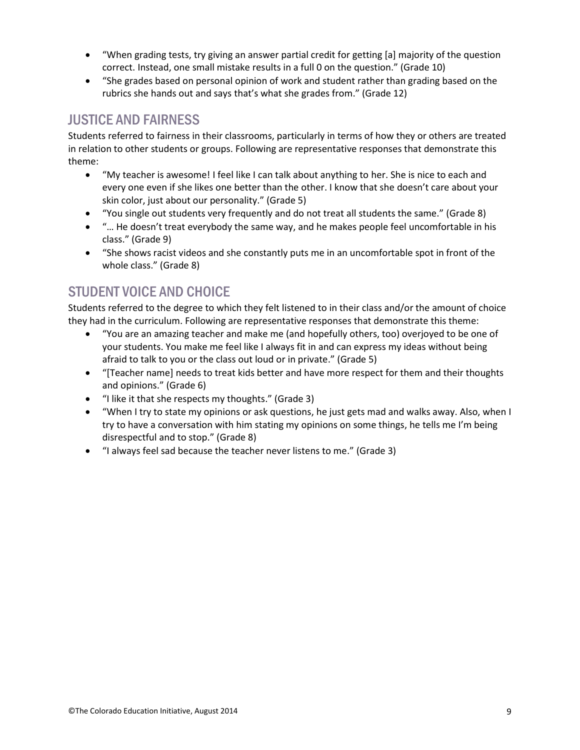- "When grading tests, try giving an answer partial credit for getting [a] majority of the question correct. Instead, one small mistake results in a full 0 on the question." (Grade 10)
- "She grades based on personal opinion of work and student rather than grading based on the rubrics she hands out and says that's what she grades from." (Grade 12)

# JUSTICE AND FAIRNESS

Students referred to fairness in their classrooms, particularly in terms of how they or others are treated in relation to other students or groups. Following are representative responses that demonstrate this theme:

- "My teacher is awesome! I feel like I can talk about anything to her. She is nice to each and every one even if she likes one better than the other. I know that she doesn't care about your skin color, just about our personality." (Grade 5)
- "You single out students very frequently and do not treat all students the same." (Grade 8)
- "… He doesn't treat everybody the same way, and he makes people feel uncomfortable in his class." (Grade 9)
- "She shows racist videos and she constantly puts me in an uncomfortable spot in front of the whole class." (Grade 8)

# STUDENT VOICE AND CHOICE

Students referred to the degree to which they felt listened to in their class and/or the amount of choice they had in the curriculum. Following are representative responses that demonstrate this theme:

- "You are an amazing teacher and make me (and hopefully others, too) overjoyed to be one of your students. You make me feel like I always fit in and can express my ideas without being afraid to talk to you or the class out loud or in private." (Grade 5)
- "[Teacher name] needs to treat kids better and have more respect for them and their thoughts and opinions." (Grade 6)
- "I like it that she respects my thoughts." (Grade 3)
- "When I try to state my opinions or ask questions, he just gets mad and walks away. Also, when I try to have a conversation with him stating my opinions on some things, he tells me I'm being disrespectful and to stop." (Grade 8)
- "I always feel sad because the teacher never listens to me." (Grade 3)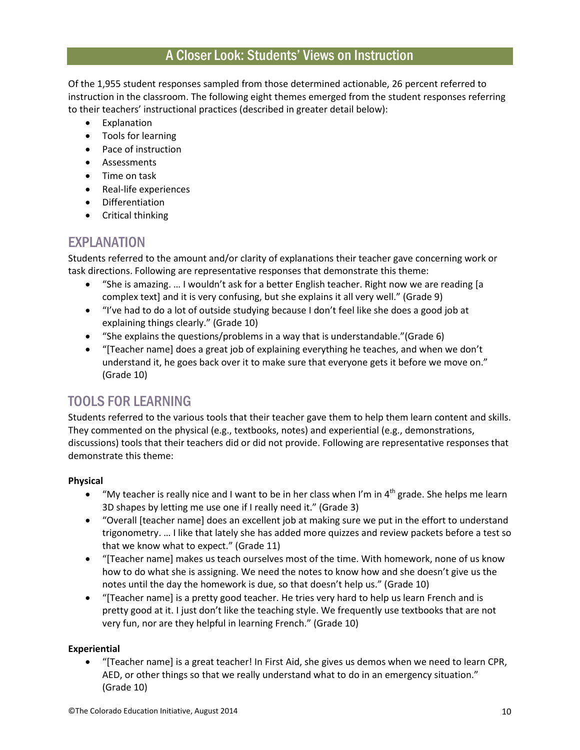#### A Closer Look: Students' Views on Instruction

Of the 1,955 student responses sampled from those determined actionable, 26 percent referred to instruction in the classroom. The following eight themes emerged from the student responses referring to their teachers' instructional practices (described in greater detail below):

- Explanation
- Tools for learning
- Pace of instruction
- Assessments
- Time on task
- Real-life experiences
- Differentiation
- Critical thinking

#### EXPLANATION

Students referred to the amount and/or clarity of explanations their teacher gave concerning work or task directions. Following are representative responses that demonstrate this theme:

- "She is amazing. … I wouldn't ask for a better English teacher. Right now we are reading [a complex text] and it is very confusing, but she explains it all very well." (Grade 9)
- "I've had to do a lot of outside studying because I don't feel like she does a good job at explaining things clearly." (Grade 10)
- "She explains the questions/problems in a way that is understandable."(Grade 6)
- $\bullet$  "Teacher name) does a great job of explaining everything he teaches, and when we don't understand it, he goes back over it to make sure that everyone gets it before we move on." (Grade 10)

### TOOLS FOR LEARNING

Students referred to the various tools that their teacher gave them to help them learn content and skills. They commented on the physical (e.g., textbooks, notes) and experiential (e.g., demonstrations, discussions) tools that their teachers did or did not provide. Following are representative responses that demonstrate this theme:

#### **Physical**

- "My teacher is really nice and I want to be in her class when I'm in  $4<sup>th</sup>$  grade. She helps me learn 3D shapes by letting me use one if I really need it." (Grade 3)
- "Overall [teacher name] does an excellent job at making sure we put in the effort to understand trigonometry. … I like that lately she has added more quizzes and review packets before a test so that we know what to expect." (Grade 11)
- "[Teacher name] makes us teach ourselves most of the time. With homework, none of us know how to do what she is assigning. We need the notes to know how and she doesn't give us the notes until the day the homework is due, so that doesn't help us." (Grade 10)
- \* "[Teacher name] is a pretty good teacher. He tries very hard to help us learn French and is pretty good at it. I just don't like the teaching style. We frequently use textbooks that are not very fun, nor are they helpful in learning French." (Grade 10)

#### **Experiential**

"[Teacher name] is a great teacher! In First Aid, she gives us demos when we need to learn CPR, AED, or other things so that we really understand what to do in an emergency situation." (Grade 10)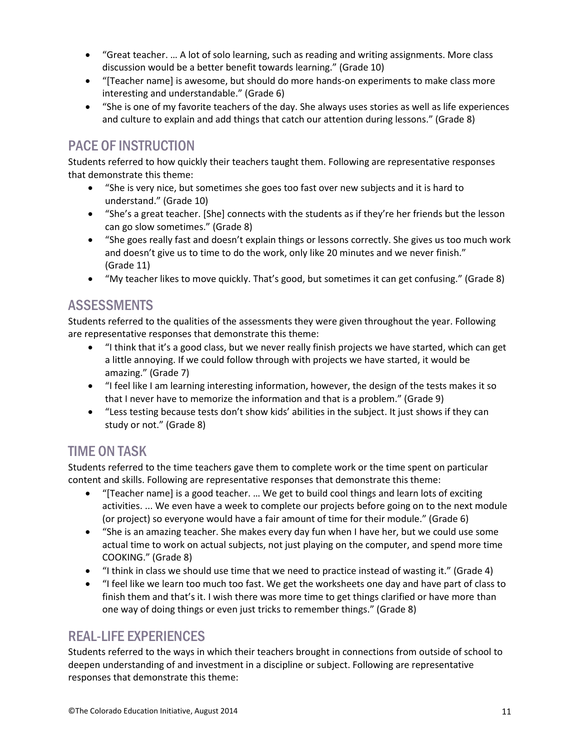- "Great teacher. … A lot of solo learning, such as reading and writing assignments. More class discussion would be a better benefit towards learning." (Grade 10)
- "Teacher name) is awesome, but should do more hands-on experiments to make class more interesting and understandable." (Grade 6)
- "She is one of my favorite teachers of the day. She always uses stories as well as life experiences and culture to explain and add things that catch our attention during lessons." (Grade 8)

### PACE OF INSTRUCTION

Students referred to how quickly their teachers taught them. Following are representative responses that demonstrate this theme:

- "She is very nice, but sometimes she goes too fast over new subjects and it is hard to understand." (Grade 10)
- "She's a great teacher. [She] connects with the students as if they're her friends but the lesson can go slow sometimes." (Grade 8)
- "She goes really fast and doesn't explain things or lessons correctly. She gives us too much work and doesn't give us to time to do the work, only like 20 minutes and we never finish." (Grade 11)
- "My teacher likes to move quickly. That's good, but sometimes it can get confusing." (Grade 8)

# **ASSESSMENTS**

Students referred to the qualities of the assessments they were given throughout the year. Following are representative responses that demonstrate this theme:

- "I think that it's a good class, but we never really finish projects we have started, which can get a little annoying. If we could follow through with projects we have started, it would be amazing." (Grade 7)
- "I feel like I am learning interesting information, however, the design of the tests makes it so that I never have to memorize the information and that is a problem." (Grade 9)
- "Less testing because tests don't show kids' abilities in the subject. It just shows if they can study or not." (Grade 8)

### TIME ON TASK

Students referred to the time teachers gave them to complete work or the time spent on particular content and skills. Following are representative responses that demonstrate this theme:

- "[Teacher name] is a good teacher. ... We get to build cool things and learn lots of exciting activities. ... We even have a week to complete our projects before going on to the next module (or project) so everyone would have a fair amount of time for their module." (Grade 6)
- "She is an amazing teacher. She makes every day fun when I have her, but we could use some actual time to work on actual subjects, not just playing on the computer, and spend more time COOKING." (Grade 8)
- "I think in class we should use time that we need to practice instead of wasting it." (Grade 4)
- "I feel like we learn too much too fast. We get the worksheets one day and have part of class to finish them and that's it. I wish there was more time to get things clarified or have more than one way of doing things or even just tricks to remember things." (Grade 8)

#### REAL-LIFE EXPERIENCES

Students referred to the ways in which their teachers brought in connections from outside of school to deepen understanding of and investment in a discipline or subject. Following are representative responses that demonstrate this theme: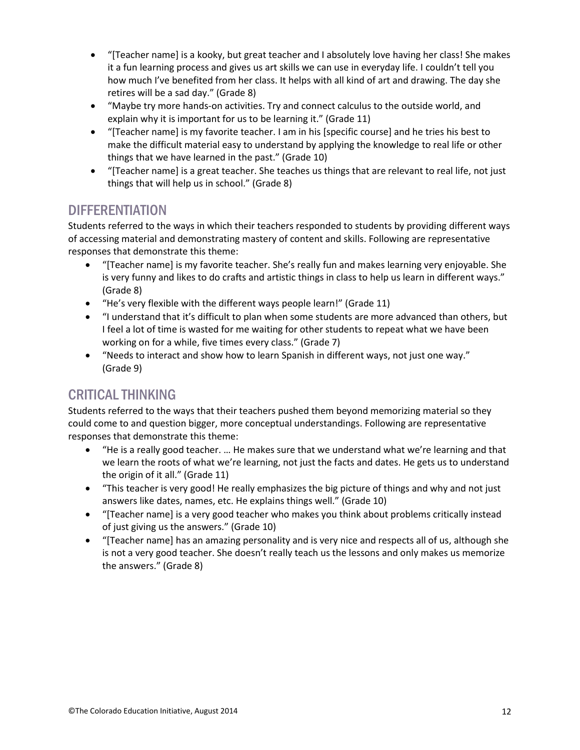- "[Teacher name] is a kooky, but great teacher and I absolutely love having her class! She makes it a fun learning process and gives us art skills we can use in everyday life. I couldn't tell you how much I've benefited from her class. It helps with all kind of art and drawing. The day she retires will be a sad day." (Grade 8)
- "Maybe try more hands-on activities. Try and connect calculus to the outside world, and explain why it is important for us to be learning it." (Grade 11)
- "[Teacher name] is my favorite teacher. I am in his [specific course] and he tries his best to make the difficult material easy to understand by applying the knowledge to real life or other things that we have learned in the past." (Grade 10)
- "[Teacher name] is a great teacher. She teaches us things that are relevant to real life, not just things that will help us in school." (Grade 8)

#### **DIFFERENTIATION**

Students referred to the ways in which their teachers responded to students by providing different ways of accessing material and demonstrating mastery of content and skills. Following are representative responses that demonstrate this theme:

- \* "[Teacher name] is my favorite teacher. She's really fun and makes learning very enjoyable. She is very funny and likes to do crafts and artistic things in class to help us learn in different ways." (Grade 8)
- "He's very flexible with the different ways people learn!" (Grade 11)
- "I understand that it's difficult to plan when some students are more advanced than others, but I feel a lot of time is wasted for me waiting for other students to repeat what we have been working on for a while, five times every class." (Grade 7)
- "Needs to interact and show how to learn Spanish in different ways, not just one way." (Grade 9)

# CRITICAL THINKING

Students referred to the ways that their teachers pushed them beyond memorizing material so they could come to and question bigger, more conceptual understandings. Following are representative responses that demonstrate this theme:

- "He is a really good teacher. … He makes sure that we understand what we're learning and that we learn the roots of what we're learning, not just the facts and dates. He gets us to understand the origin of it all." (Grade 11)
- "This teacher is very good! He really emphasizes the big picture of things and why and not just answers like dates, names, etc. He explains things well." (Grade 10)
- "[Teacher name] is a very good teacher who makes you think about problems critically instead of just giving us the answers." (Grade 10)
- "[Teacher name] has an amazing personality and is very nice and respects all of us, although she is not a very good teacher. She doesn't really teach us the lessons and only makes us memorize the answers." (Grade 8)